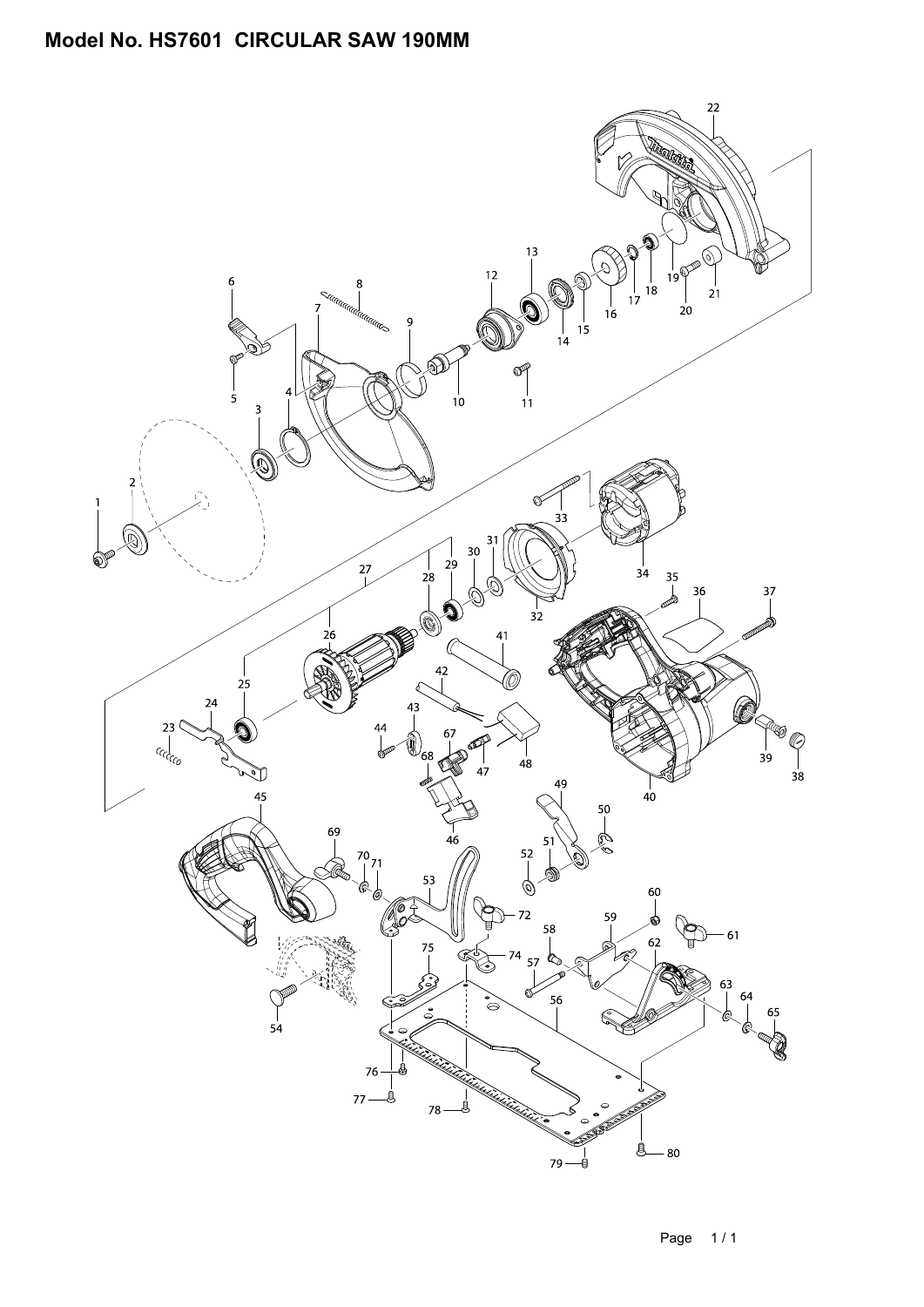## **Model No. HS7601 CIRCULAR SAW 190MM**

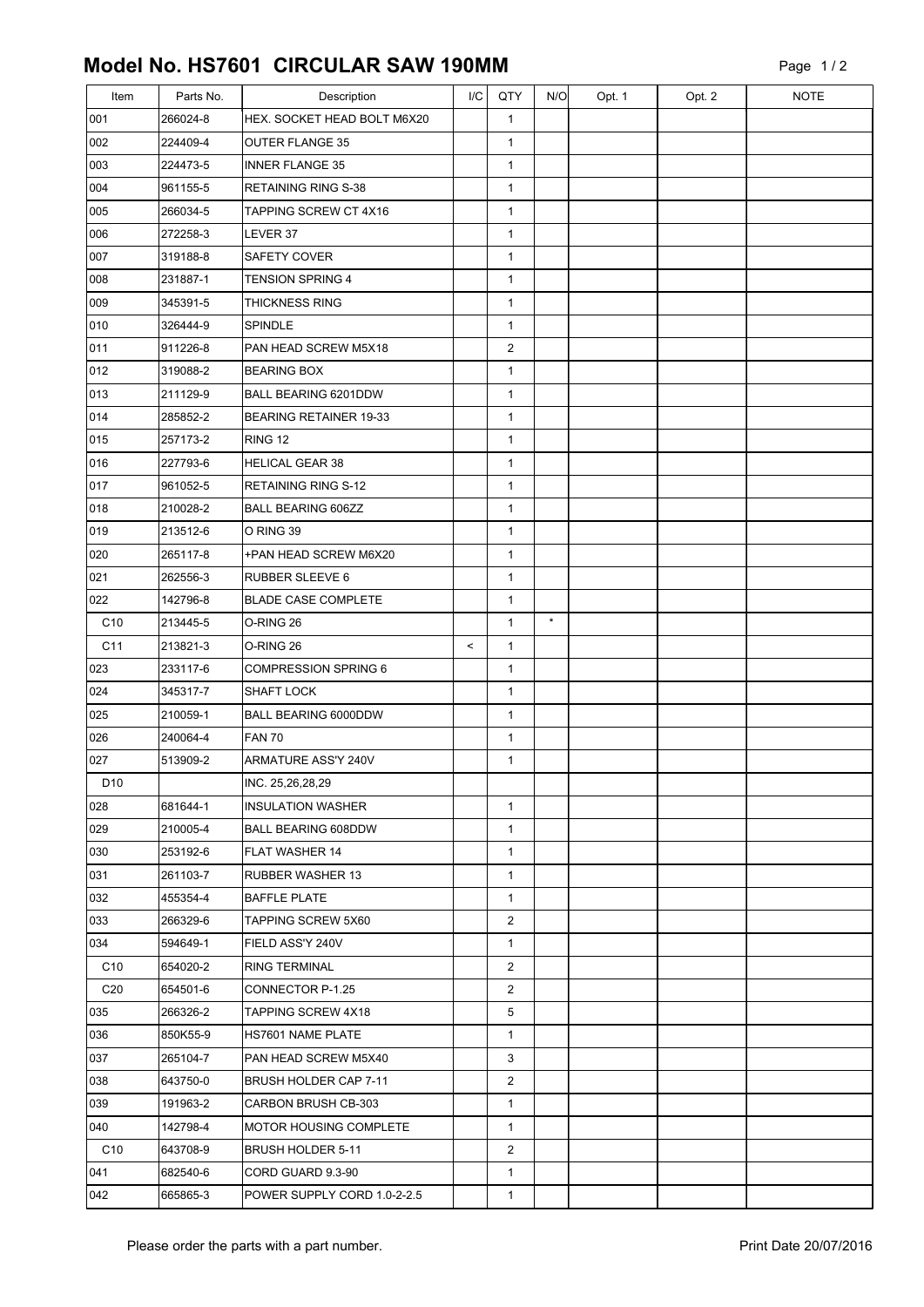## **Model No. HS7601 CIRCULAR SAW 190MM**

| Item            | Parts No. | Description                   | I/C   | QTY            | N/O     | Opt. 1 | Opt. 2 | <b>NOTE</b> |
|-----------------|-----------|-------------------------------|-------|----------------|---------|--------|--------|-------------|
| 001             | 266024-8  | HEX. SOCKET HEAD BOLT M6X20   |       | $\mathbf{1}$   |         |        |        |             |
| 002             | 224409-4  | <b>OUTER FLANGE 35</b>        |       | $\mathbf{1}$   |         |        |        |             |
| 003             | 224473-5  | <b>INNER FLANGE 35</b>        |       | $\mathbf{1}$   |         |        |        |             |
| 004             | 961155-5  | RETAINING RING S-38           |       | $\mathbf{1}$   |         |        |        |             |
| 005             | 266034-5  | TAPPING SCREW CT 4X16         |       | $\mathbf{1}$   |         |        |        |             |
| 006             | 272258-3  | LEVER 37                      |       | $\mathbf{1}$   |         |        |        |             |
| 007             | 319188-8  | <b>SAFETY COVER</b>           |       | $\mathbf{1}$   |         |        |        |             |
| 008             | 231887-1  | <b>TENSION SPRING 4</b>       |       | $\mathbf 1$    |         |        |        |             |
| 009             | 345391-5  | THICKNESS RING                |       | $\mathbf{1}$   |         |        |        |             |
| 010             | 326444-9  | SPINDLE                       |       | $\mathbf{1}$   |         |        |        |             |
| 011             | 911226-8  | PAN HEAD SCREW M5X18          |       | $\overline{2}$ |         |        |        |             |
| 012             | 319088-2  | <b>BEARING BOX</b>            |       | $\mathbf{1}$   |         |        |        |             |
| 013             | 211129-9  | BALL BEARING 6201DDW          |       | $\mathbf{1}$   |         |        |        |             |
| 014             | 285852-2  | <b>BEARING RETAINER 19-33</b> |       | $\mathbf{1}$   |         |        |        |             |
| 015             | 257173-2  | <b>RING 12</b>                |       | $\mathbf{1}$   |         |        |        |             |
| 016             | 227793-6  | <b>HELICAL GEAR 38</b>        |       | $\mathbf{1}$   |         |        |        |             |
| 017             | 961052-5  | <b>RETAINING RING S-12</b>    |       | $\mathbf{1}$   |         |        |        |             |
| 018             | 210028-2  | <b>BALL BEARING 606ZZ</b>     |       | $\mathbf{1}$   |         |        |        |             |
| 019             | 213512-6  | O RING 39                     |       | $\mathbf{1}$   |         |        |        |             |
| 020             | 265117-8  | +PAN HEAD SCREW M6X20         |       | $\mathbf{1}$   |         |        |        |             |
| 021             | 262556-3  | <b>RUBBER SLEEVE 6</b>        |       | $\mathbf{1}$   |         |        |        |             |
| 022             | 142796-8  | <b>BLADE CASE COMPLETE</b>    |       | $\mathbf{1}$   |         |        |        |             |
| C10             | 213445-5  | O-RING 26                     |       | $\mathbf{1}$   | $\star$ |        |        |             |
| C <sub>11</sub> | 213821-3  | O-RING 26                     | $\,<$ | $\mathbf{1}$   |         |        |        |             |
| 023             | 233117-6  | <b>COMPRESSION SPRING 6</b>   |       | $\mathbf{1}$   |         |        |        |             |
| 024             | 345317-7  | <b>SHAFT LOCK</b>             |       | $\mathbf{1}$   |         |        |        |             |
| 025             | 210059-1  | BALL BEARING 6000DDW          |       | $\mathbf 1$    |         |        |        |             |
| 026             | 240064-4  | <b>FAN 70</b>                 |       | $\mathbf{1}$   |         |        |        |             |
| 027             | 513909-2  | ARMATURE ASS'Y 240V           |       | $\mathbf{1}$   |         |        |        |             |
| D <sub>10</sub> |           | INC. 25,26,28,29              |       |                |         |        |        |             |
| 028             | 681644-1  | <b>INSULATION WASHER</b>      |       | $\mathbf{1}$   |         |        |        |             |
| 029             | 210005-4  | <b>BALL BEARING 608DDW</b>    |       | $\mathbf{1}$   |         |        |        |             |
| 030             | 253192-6  | FLAT WASHER 14                |       | $\mathbf 1$    |         |        |        |             |
| 031             | 261103-7  | RUBBER WASHER 13              |       | $\mathbf 1$    |         |        |        |             |
| 032             | 455354-4  | <b>BAFFLE PLATE</b>           |       | $\mathbf{1}$   |         |        |        |             |
| 033             | 266329-6  | TAPPING SCREW 5X60            |       | 2              |         |        |        |             |
| 034             | 594649-1  | FIELD ASS'Y 240V              |       | $\mathbf{1}$   |         |        |        |             |
| C10             | 654020-2  | RING TERMINAL                 |       | 2              |         |        |        |             |
| C <sub>20</sub> | 654501-6  | CONNECTOR P-1.25              |       | 2              |         |        |        |             |
| 035             | 266326-2  | TAPPING SCREW 4X18            |       | 5              |         |        |        |             |
| 036             | 850K55-9  | HS7601 NAME PLATE             |       | $\mathbf{1}$   |         |        |        |             |
| 037             | 265104-7  | PAN HEAD SCREW M5X40          |       | 3              |         |        |        |             |
| 038             | 643750-0  | BRUSH HOLDER CAP 7-11         |       | $\overline{2}$ |         |        |        |             |
| 039             | 191963-2  | CARBON BRUSH CB-303           |       | $\mathbf{1}$   |         |        |        |             |
| 040             | 142798-4  | MOTOR HOUSING COMPLETE        |       | $\mathbf{1}$   |         |        |        |             |
| C <sub>10</sub> | 643708-9  | BRUSH HOLDER 5-11             |       | $\overline{2}$ |         |        |        |             |
| 041             | 682540-6  | CORD GUARD 9.3-90             |       | $\mathbf{1}$   |         |        |        |             |
| 042             | 665865-3  | POWER SUPPLY CORD 1.0-2-2.5   |       | 1              |         |        |        |             |